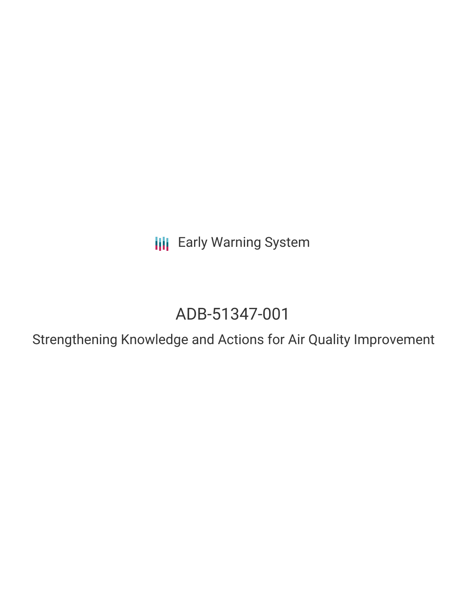**III** Early Warning System

# ADB-51347-001

Strengthening Knowledge and Actions for Air Quality Improvement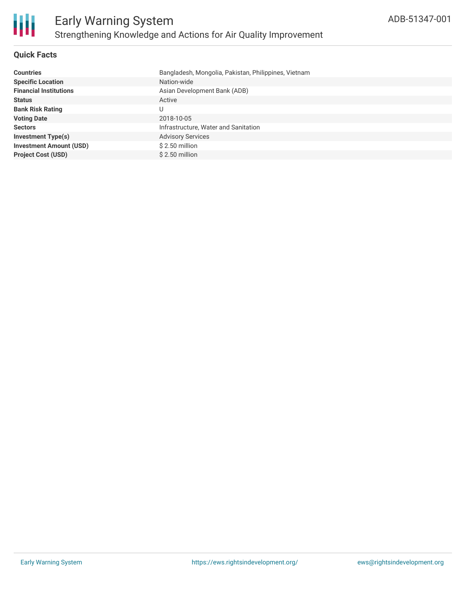

# **Quick Facts**

| <b>Countries</b>               | Bangladesh, Mongolia, Pakistan, Philippines, Vietnam |
|--------------------------------|------------------------------------------------------|
| <b>Specific Location</b>       | Nation-wide                                          |
| <b>Financial Institutions</b>  | Asian Development Bank (ADB)                         |
| <b>Status</b>                  | Active                                               |
| <b>Bank Risk Rating</b>        |                                                      |
| <b>Voting Date</b>             | 2018-10-05                                           |
| <b>Sectors</b>                 | Infrastructure, Water and Sanitation                 |
| <b>Investment Type(s)</b>      | <b>Advisory Services</b>                             |
| <b>Investment Amount (USD)</b> | $$2.50$ million                                      |
| <b>Project Cost (USD)</b>      | $$2.50$ million                                      |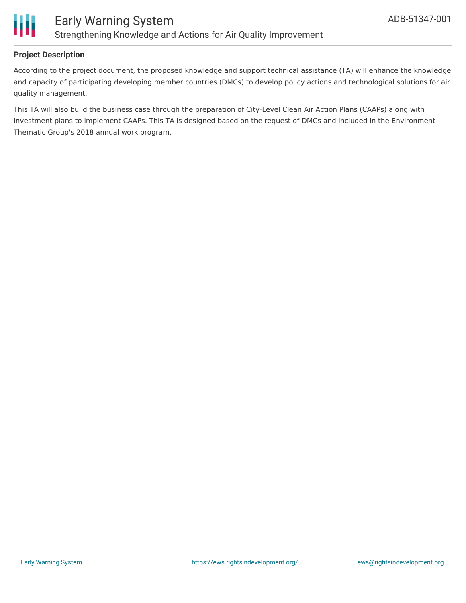

# **Project Description**

According to the project document, the proposed knowledge and support technical assistance (TA) will enhance the knowledge and capacity of participating developing member countries (DMCs) to develop policy actions and technological solutions for air quality management.

This TA will also build the business case through the preparation of City-Level Clean Air Action Plans (CAAPs) along with investment plans to implement CAAPs. This TA is designed based on the request of DMCs and included in the Environment Thematic Group's 2018 annual work program.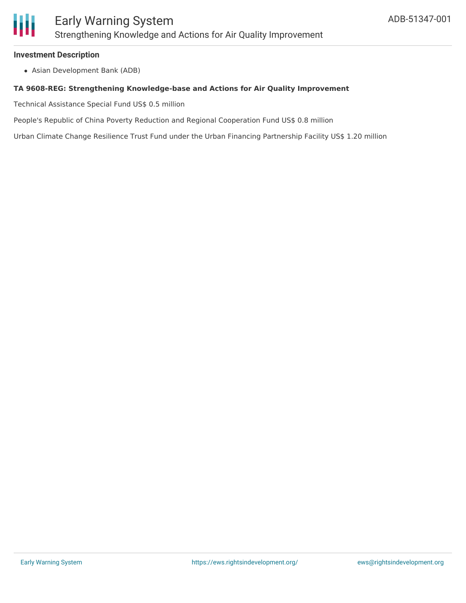

### **Investment Description**

Asian Development Bank (ADB)

### **TA 9608-REG: Strengthening Knowledge-base and Actions for Air Quality Improvement**

Technical Assistance Special Fund US\$ 0.5 million

People's Republic of China Poverty Reduction and Regional Cooperation Fund US\$ 0.8 million

Urban Climate Change Resilience Trust Fund under the Urban Financing Partnership Facility US\$ 1.20 million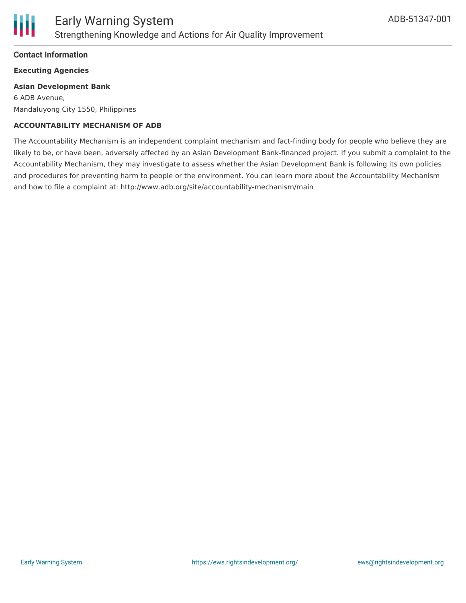

# **Contact Information**

# **Executing Agencies**

### **Asian Development Bank**

6 ADB Avenue, Mandaluyong City 1550, Philippines

# **ACCOUNTABILITY MECHANISM OF ADB**

The Accountability Mechanism is an independent complaint mechanism and fact-finding body for people who believe they are likely to be, or have been, adversely affected by an Asian Development Bank-financed project. If you submit a complaint to the Accountability Mechanism, they may investigate to assess whether the Asian Development Bank is following its own policies and procedures for preventing harm to people or the environment. You can learn more about the Accountability Mechanism and how to file a complaint at: http://www.adb.org/site/accountability-mechanism/main